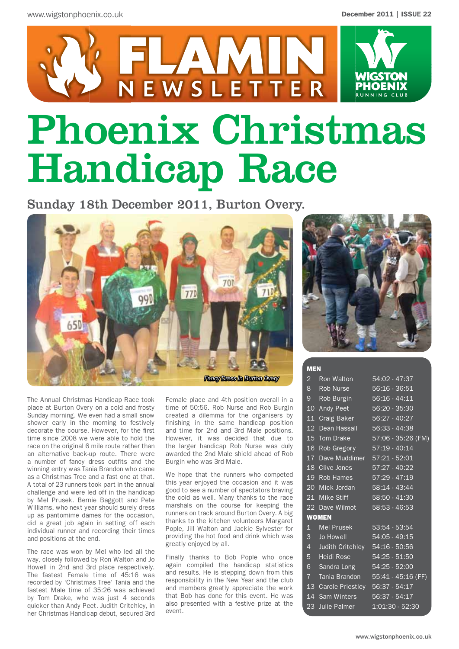

# Phoenix Christmas Handicap Race

Sunday 18th December 2011, Burton Overy.



The Annual Christmas Handicap Race took place at Burton Overy on a cold and frosty Sunday morning. We even had a small snow shower early in the morning to festively decorate the course. However, for the first time since 2008 we were able to hold the race on the original 6 mile route rather than an alternative back-up route. There were a number of fancy dress outfits and the winning entry was Tania Brandon who came as a Christmas Tree and a fast one at that. A total of 23 runners took part in the annual challenge and were led off in the handicap by Mel Prusek. Bernie Baggott and Pete Williams, who next year should surely dress up as pantomime dames for the occasion, did a great job again in setting off each individual runner and recording their times and positions at the end.

The race was won by Mel who led all the way, closely followed by Ron Walton and Jo Howell in 2nd and 3rd place respectively. The fastest Female time of 45:16 was recorded by 'Christmas Tree' Tania and the fastest Male time of 35:26 was achieved by Tom Drake, who was just 4 seconds quicker than Andy Peet. Judith Critchley, in her Christmas Handicap debut, secured 3rd

Female place and 4th position overall in a time of 50:56. Rob Nurse and Rob Burgin created a dilemma for the organisers by finishing in the same handicap position and time for 2nd and 3rd Male positions. However, it was decided that due to the larger handicap Rob Nurse was duly awarded the 2nd Male shield ahead of Rob Burgin who was 3rd Male.

We hope that the runners who competed this year enjoyed the occasion and it was good to see a number of spectators braving the cold as well. Many thanks to the race marshals on the course for keeping the runners on track around Burton Overy. A big thanks to the kitchen volunteers Margaret Pople, Jill Walton and Jackie Sylvester for providing the hot food and drink which was greatly enjoyed by all.

Finally thanks to Bob Pople who once again compiled the handicap statistics and results. He is stepping down from this responsibility in the New Year and the club and members greatly appreciate the work that Bob has done for this event. He was also presented with a festive prize at the event.



#### MEN

|  | 2 Ron Walton 54:02 - 47:37        |                                    |  |
|--|-----------------------------------|------------------------------------|--|
|  | 8 Rob Nurse 56:16 - 36:51         |                                    |  |
|  | 9 Rob Burgin 56:16 - 44:11        |                                    |  |
|  | 10 Andy Peet 56:20 - 35:30        |                                    |  |
|  | 11 Craig Baker 56:27 - 40:27      |                                    |  |
|  | 12 Dean Hassall 56:33 - 44:38     |                                    |  |
|  |                                   | 15 Tom Drake 57:06 - 35:26 (FM)    |  |
|  | 16 Rob Gregory 57:19 - 40:14      |                                    |  |
|  | 17 Dave Muddimer 57:21 - 52:01    |                                    |  |
|  | 18 Clive Jones 57:27 - 40:22      |                                    |  |
|  | 19 Rob Hames 57:29 - 47:19        |                                    |  |
|  | 20 Mick Jordan 58:14 - 43:44      |                                    |  |
|  | 21 Mike Stiff 58:50 - 41:30       |                                    |  |
|  | 22 Dave Wilmot 58:53 - 46:53      |                                    |  |
|  | <b>WOMEN</b>                      |                                    |  |
|  | 1 Mel Prusek 53:54 - 53:54        |                                    |  |
|  | 3 Jo Howell 54:05 - 49:15         |                                    |  |
|  | 4 Judith Critchley 54:16 - 50:56  |                                    |  |
|  | 5 Heidi Rose 54:25 - 51:50        |                                    |  |
|  | 6 Sandra Long 54:25 - 52:00       |                                    |  |
|  |                                   | 7 Tania Brandon 55:41 - 45:16 (FF) |  |
|  | 13 Carole Priestley 56:37 - 54:17 |                                    |  |
|  | 14 Sam Winters 56:37 - 54:17      |                                    |  |
|  | 23 Julie Palmer 1:01:30 - 52:30   |                                    |  |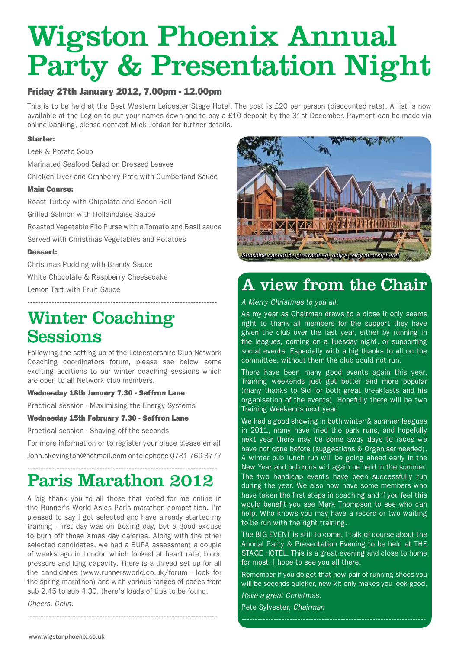## Wigston Phoenix Annual Party & Presentation Night

#### Friday 27th January 2012, 7.00pm - 12.00pm

This is to be held at the Best Western Leicester Stage Hotel. The cost is £20 per person (discounted rate). A list is now available at the Legion to put your names down and to pay a £10 deposit by the 31st December. Payment can be made via online banking, please contact Mick Jordan for further details.

#### Starter:

Leek & Potato Soup

Marinated Seafood Salad on Dressed Leaves

Chicken Liver and Cranberry Pate with Cumberland Sauce

#### Main Course:

Roast Turkey with Chipolata and Bacon Roll

Grilled Salmon with Hollaindaise Sauce

Roasted Vegetable Filo Purse with a Tomato and Basil sauce

Served with Christmas Vegetables and Potatoes

#### Dessert:

Christmas Pudding with Brandy Sauce White Chocolate & Raspberry Cheesecake Lemon Tart with Fruit Sauce

## Winter Coaching **Sessions**

Following the setting up of the Leicestershire Club Network Coaching coordinators forum, please see below some exciting additions to our winter coaching sessions which are open to all Network club members.

-----------------------------------------------------------------------

#### Wednesday 18th January 7.30 - Saffron Lane

Practical session - Maximising the Energy Systems

#### Wednesday 15th February 7.30 - Saffron Lane

Practical session - Shaving off the seconds

For more information or to register your place please email John.skevington@hotmail.com or telephone 0781 769 3777

#### ----------------------------------------------------------------------- Paris Marathon 2012

A big thank you to all those that voted for me online in the Runner's World Asics Paris marathon competition. I'm pleased to say I got selected and have already started my training - first day was on Boxing day, but a good excuse to burn off those Xmas day calories. Along with the other selected candidates, we had a BUPA assessment a couple of weeks ago in London which looked at heart rate, blood pressure and lung capacity. There is a thread set up for all the candidates (www.runnersworld.co.uk/forum - look for the spring marathon) and with various ranges of paces from sub 2.45 to sub 4.30, there's loads of tips to be found.

*Cheers, Colin.*



## A view from the Chair

*A Merry Christmas to you all.* 

As my year as Chairman draws to a close it only seems right to thank all members for the support they have given the club over the last year, either by running in the leagues, coming on a Tuesday night, or supporting social events. Especially with a big thanks to all on the committee, without them the club could not run.

There have been many good events again this year. Training weekends just get better and more popular (many thanks to Sid for both great breakfasts and his organisation of the events). Hopefully there will be two Training Weekends next year.

We had a good showing in both winter & summer leagues in 2011, many have tried the park runs, and hopefully next year there may be some away days to races we have not done before (suggestions & Organiser needed). A winter pub lunch run will be going ahead early in the New Year and pub runs will again be held in the summer. The two handicap events have been successfully run during the year. We also now have some members who have taken the first steps in coaching and if you feel this would benefit you see Mark Thompson to see who can help. Who knows you may have a record or two waiting to be run with the right training.

The BIG EVENT is still to come. I talk of course about the Annual Party & Presentation Evening to be held at THE STAGE HOTEL. This is a great evening and close to home for most, I hope to see you all there.

Remember if you do get that new pair of running shoes you will be seconds quicker, new kit only makes you look good.

*Have a great Christmas.* Pete Sylvester, *Chairman*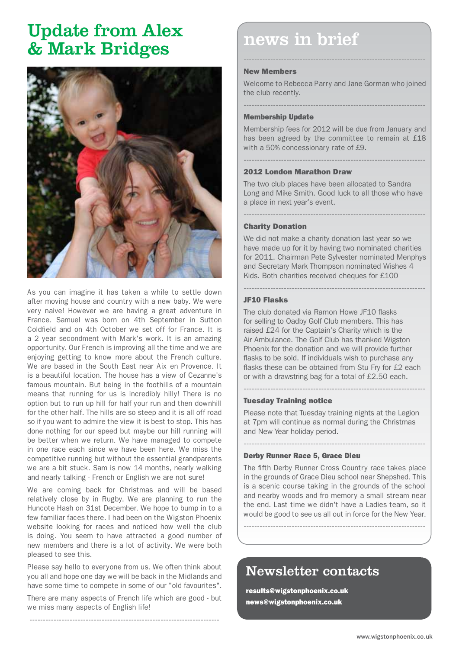## Update from Alex & Mark Bridges



As you can imagine it has taken a while to settle down after moving house and country with a new baby. We were very naive! However we are having a great adventure in France. Samuel was born on 4th September in Sutton Coldfield and on 4th October we set off for France. It is a 2 year secondment with Mark's work. It is an amazing opportunity. Our French is improving all the time and we are enjoying getting to know more about the French culture. We are based in the South East near Aix en Provence. It is a beautiful location. The house has a view of Cezanne's famous mountain. But being in the foothills of a mountain means that running for us is incredibly hilly! There is no option but to run up hill for half your run and then downhill for the other half. The hills are so steep and it is all off road so if you want to admire the view it is best to stop. This has done nothing for our speed but maybe our hill running will be better when we return. We have managed to compete in one race each since we have been here. We miss the competitive running but without the essential grandparents we are a bit stuck. Sam is now 14 months, nearly walking and nearly talking - French or English we are not sure!

We are coming back for Christmas and will be based relatively close by in Rugby. We are planning to run the Huncote Hash on 31st December. We hope to bump in to a few familiar faces there. I had been on the Wigston Phoenix website looking for races and noticed how well the club is doing. You seem to have attracted a good number of new members and there is a lot of activity. We were both pleased to see this.

Please say hello to everyone from us. We often think about you all and hope one day we will be back in the Midlands and have some time to compete in some of our "old favourites".

There are many aspects of French life which are good - but we miss many aspects of English life!

-----------------------------------------------------------------------

## news in brief

#### New Members

Welcome to Rebecca Parry and Jane Gorman who joined the club recently.

--------------------------------------------------------------------

#### -------------------------------------------------------------------- Membership Update

Membership fees for 2012 will be due from January and has been agreed by the committee to remain at £18 with a 50% concessionary rate of £9.

--------------------------------------------------------------------

#### 2012 London Marathon Draw

The two club places have been allocated to Sandra Long and Mike Smith. Good luck to all those who have a place in next year's event.

--------------------------------------------------------------------

#### Charity Donation

We did not make a charity donation last year so we have made up for it by having two nominated charities for 2011. Chairman Pete Sylvester nominated Menphys and Secretary Mark Thompson nominated Wishes 4 Kids. Both charities received cheques for £100

--------------------------------------------------------------------

#### JF10 Flasks

The club donated via Ramon Howe JF10 flasks for selling to Oadby Golf Club members. This has raised £24 for the Captain's Charity which is the Air Ambulance. The Golf Club has thanked Wigston Phoenix for the donation and we will provide further flasks to be sold. If individuals wish to purchase any flasks these can be obtained from Stu Fry for £2 each or with a drawstring bag for a total of £2.50 each.

#### Tuesday Training notice

Please note that Tuesday training nights at the Legion at 7pm will continue as normal during the Christmas and New Year holiday period.

--------------------------------------------------------------------

--------------------------------------------------------------------

#### Derby Runner Race 5, Grace Dieu

The fifth Derby Runner Cross Country race takes place in the grounds of Grace Dieu school near Shepshed. This is a scenic course taking in the grounds of the school and nearby woods and fro memory a small stream near the end. Last time we didn't have a Ladies team, so it would be good to see us all out in force for the New Year.

--------------------------------------------------------------------

## Newsletter contacts

results@wigstonphoenix.co.uk news@wigstonphoenix.co.uk